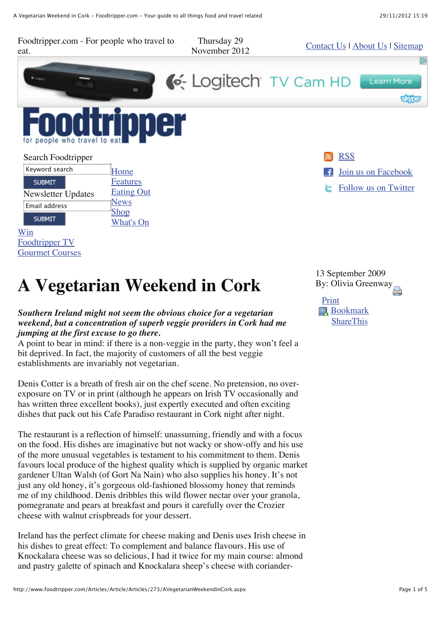Foodtripper.com - For people who travel to Thursday 29 November 2012 Contact Us | About Us | Sitemap eat. C-Logitech TV Cam HD **Learn More** people RSS Search Foodtripper Keyword search Home Join us on Facebook **Features SUBMIT** Follow us on Twitter Eating Out Newsletter Updates **News** Email address Shop **SUBMIT** What's On Win Foodtripper TV Gourmet Courses

# **A Vegetarian Weekend in Cork**

#### *Southern Ireland might not seem the obvious choice for a vegetarian weekend, but a concentration of superb veggie providers in Cork had me jumping at the first excuse to go there.*

A point to bear in mind: if there is a non-veggie in the party, they won't feel a bit deprived. In fact, the majority of customers of all the best veggie establishments are invariably not vegetarian.

Denis Cotter is a breath of fresh air on the chef scene. No pretension, no overexposure on TV or in print (although he appears on Irish TV occasionally and has written three excellent books), just expertly executed and often exciting dishes that pack out his Cafe Paradiso restaurant in Cork night after night.

The restaurant is a reflection of himself: unassuming, friendly and with a focus on the food. His dishes are imaginative but not wacky or show-offy and his use of the more unusual vegetables is testament to his commitment to them. Denis favours local produce of the highest quality which is supplied by organic market gardener Ultan Walsh (of Gort Na Nain) who also supplies his honey. It's not just any old honey, it's gorgeous old-fashioned blossomy honey that reminds me of my childhood. Denis dribbles this wild flower nectar over your granola, pomegranate and pears at breakfast and pours it carefully over the Crozier cheese with walnut crispbreads for your dessert.

Ireland has the perfect climate for cheese making and Denis uses Irish cheese in his dishes to great effect: To complement and balance flavours. His use of Knockalara cheese was so delicious, I had it twice for my main course: almond and pastry galette of spinach and Knockalara sheep's cheese with corianderBy: Olivia Greenway 13 September 2009

Print **Bookmark ShareThis**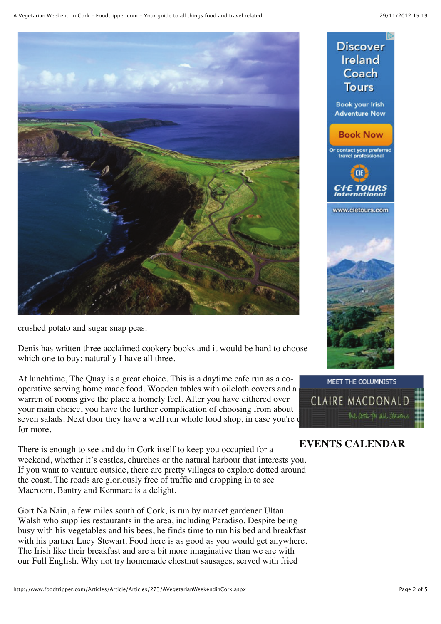**ID** 

**Discover** 



crushed potato and sugar snap peas.

Denis has written three acclaimed cookery books and it would be hard to choose which one to buy; naturally I have all three.

At lunchtime, The Quay is a great choice. This is a daytime cafe run as a cooperative serving home made food. Wooden tables with oilcloth covers and a warren of rooms give the place a homely feel. After you have dithered over your main choice, you have the further complication of choosing from about seven salads. Next door they have a well run whole food shop, in case you're up for more.

There is enough to see and do in Cork itself to keep you occupied for a weekend, whether it's castles, churches or the natural harbour that interests you. If you want to venture outside, there are pretty villages to explore dotted around the coast. The roads are gloriously free of traffic and dropping in to see Macroom, Bantry and Kenmare is a delight.

Gort Na Nain, a few miles south of Cork, is run by market gardener Ultan Walsh who supplies restaurants in the area, including Paradiso. Despite being busy with his vegetables and his bees, he finds time to run his bed and breakfast with his partner Lucy Stewart. Food here is as good as you would get anywhere. The Irish like their breakfast and are a bit more imaginative than we are with our Full English. Why not try homemade chestnut sausages, served with fried





### **EVENTS CALENDAR**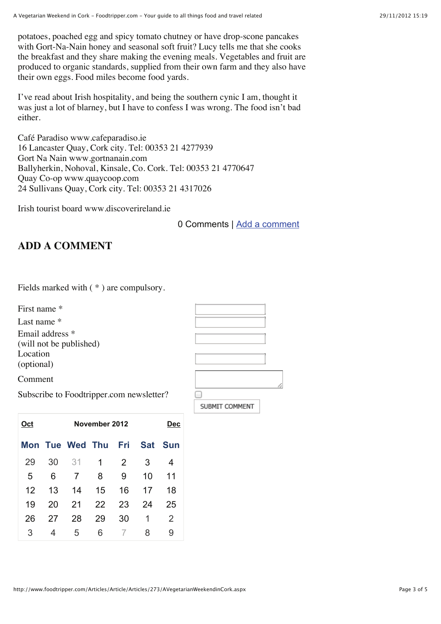potatoes, poached egg and spicy tomato chutney or have drop-scone pancakes with Gort-Na-Nain honey and seasonal soft fruit? Lucy tells me that she cooks the breakfast and they share making the evening meals. Vegetables and fruit are produced to organic standards, supplied from their own farm and they also have their own eggs. Food miles become food yards.

I've read about Irish hospitality, and being the southern cynic I am, thought it was just a lot of blarney, but I have to confess I was wrong. The food isn't bad either.

Café Paradiso www.cafeparadiso.ie 16 Lancaster Quay, Cork city. Tel: 00353 21 4277939 Gort Na Nain www.gortnanain.com Ballyherkin, Nohoval, Kinsale, Co. Cork. Tel: 00353 21 4770647 Quay Co-op www.quaycoop.com 24 Sullivans Quay, Cork city. Tel: 00353 21 4317026

Irish tourist board www.discoverireland.ie

0 Comments | Add a comment

## **ADD A COMMENT**

|  |  |  | Fields marked with $(*)$ are compulsory. |
|--|--|--|------------------------------------------|
|--|--|--|------------------------------------------|

First name \*

Last name \*

Email address \*

(will not be published)

Location (optional)

Comment

SUBMIT COMMENT

Subscribe to Foodtripper.com newsletter?

| Oct |    | Dec                 |    |    |    |         |
|-----|----|---------------------|----|----|----|---------|
|     |    | Mon Tue Wed Thu Fri |    |    |    | Sat Sun |
| 29  | 30 | 31                  | 1  | 2  | 3  | 4       |
| 5   | 6  | 7                   | 8  | 9  | 10 | 11      |
| 12  | 13 | 14                  | 15 | 16 | 17 | 18      |
| 19  | 20 | 21                  | 22 | 23 | 24 | 25      |
| 26  | 27 | 28                  | 29 | 30 | 1  | 2       |
| 3   | 4  | 5                   | 6  |    | 8  | 9       |